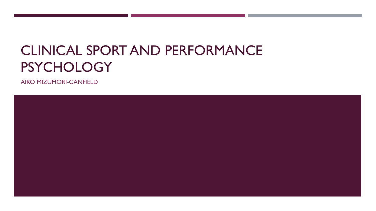# CLINICAL SPORT AND PERFORMANCE **PSYCHOLOGY**

AIKO MIZUMORI-CANFIELD

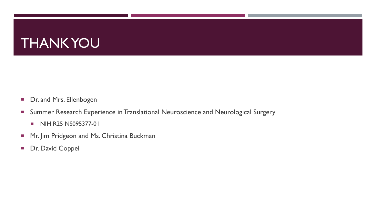# THANK YOU

- Dr. and Mrs. Ellenbogen
- **Summer Research Experience in Translational Neuroscience and Neurological Surgery** 
	- NIH R25 NS095377-01
- **Mr. Jim Pridgeon and Ms. Christina Buckman**
- **Dr. David Coppel**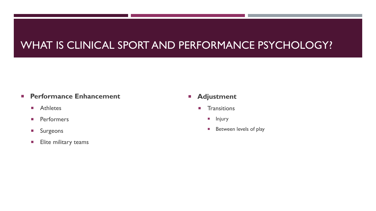### WHAT IS CLINICAL SPORT AND PERFORMANCE PSYCHOLOGY?

#### **Performance Enhancement**

- **Athletes**
- **Performers**
- **Surgeons**
- **Elite military teams**

#### **Adjustment**

- **T**ransitions
	- **Injury**
	- **Between levels of play**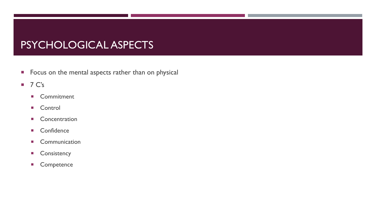### PSYCHOLOGICAL ASPECTS

- **Focus on the mental aspects rather than on physical**
- $\blacksquare$  7 C's
	- Commitment
	- **Control**
	- **Concentration**
	- Confidence
	- **Communication**
	- **Consistency**
	- **Competence**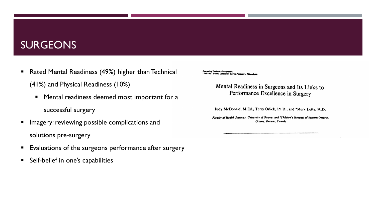#### **SURGEONS**

- Rated Mental Readiness (49%) higher than Technical (41%) and Physical Readiness (10%)
	- **Mental readiness deemed most important for a** successful surgery
- **Imagery: reviewing possible complications and** solutions pre-surgery
- Evaluations of the surgeons performance after surgery
- **Self-belief in one's capabilities**

Journal of Pediatric Orthopaedics<br>15:091-497 © 1995 Lippincott-Raven Publishers, Philade

Mental Readiness in Surgeons and Its Links to Performance Excellence in Surgery

Judy McDonald, M.Ed., Terry Orlick, Ph.D., and \*Merv Letts, M.D.

Faculty of Health Sciences, University of Ottawa, and "Children's Hospital of Eastern Ontario, Ottawa, Ontario, Canada

 $\sim$   $\sim$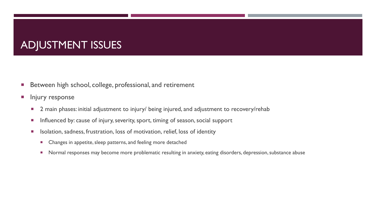## ADJUSTMENT ISSUES

- **Between high school, college, professional, and retirement**
- **Injury response** 
	- **2** main phases: initial adjustment to injury/ being injured, and adjustment to recovery/rehab
	- **Influenced by: cause of injury, severity, sport, timing of season, social support**
	- **ISOLATION, SADEL STATES ISONS** ISOLATION, IOSS of motivation, relief, loss of identity
		- **EXP** Changes in appetite, sleep patterns, and feeling more detached
		- **Normal responses may become more problematic resulting in anxiety, eating disorders, depression, substance abuse**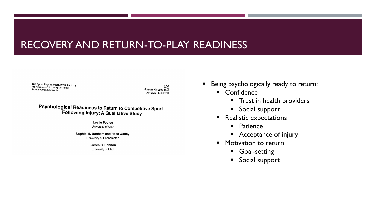#### RECOVERY AND RETURN-TO-PLAY READINESS

The Sport Psychologist, 2015, 29, 1-14 http://dx.doi.org/10.1123/tsp.2014-0063 C 2015 Human Kinetics, Inc.

Human Kinetics **APPLIED RESEARCH** 

**Psychological Readiness to Return to Competitive Sport** Following Injury: A Qualitative Study

> **Leslie Podlog** University of Utah

Sophie M. Banham and Ross Wadey University of Roehampton

> James C. Hannon University of Utah

- Being psychologically ready to return:
	- **E** Confidence
		- **Trust in health providers**
		- **Social support**
	- **Realistic expectations** 
		- **Patience**
		- Acceptance of injury
	- **Motivation to return** 
		- **Goal-setting**
		- **Social support**